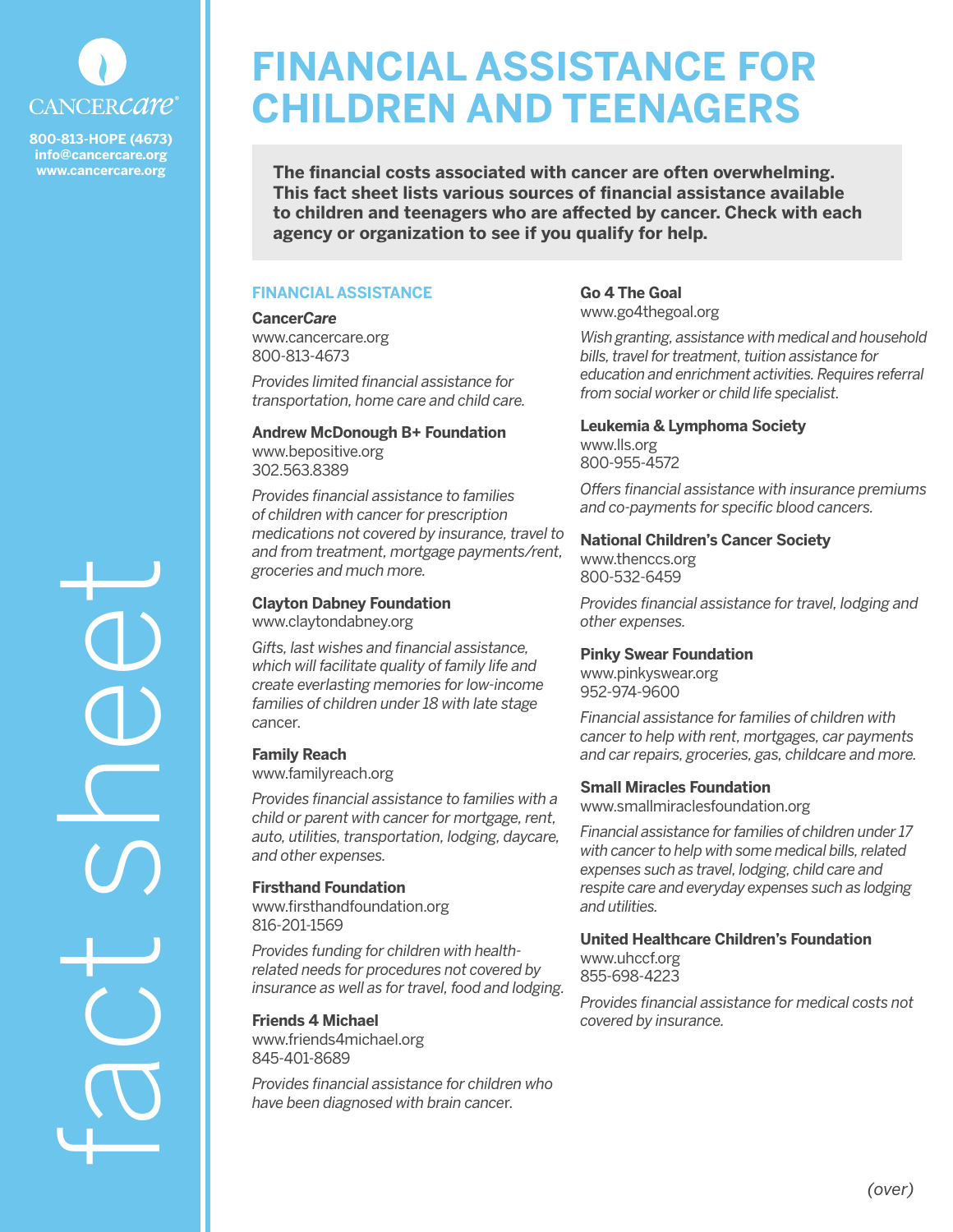

**800-813-HOPE (4673) info@cancercare.org www.cancercare.org**

fact sheet

# **FINANCIAL ASSISTANCE FOR CHILDREN AND TEENAGERS**

**The financial costs associated with cancer are often overwhelming. This fact sheet lists various sources of financial assistance available to children and teenagers who are affected by cancer. Check with each agency or organization to see if you qualify for help.**

## **FINANCIAL ASSISTANCE**

## **Cancer***Care*

www.cancercare.org 800-813-4673

*Provides limited financial assistance for transportation, home care and child care.*

### **Andrew McDonough B+ Foundation** www.bepositive.org 302.563.8389

*Provides financial assistance to families of children with cancer for prescription medications not covered by insurance, travel to and from treatment, mortgage payments/rent, groceries and much more.*

## **Clayton Dabney Foundation** www.claytondabney.org

*Gifts, last wishes and financial assistance, which will facilitate quality of family life and create everlasting memories for low-income families of children under 18 with late stage ca*ncer.

## **Family Reach**

www.familyreach.org

*Provides financial assistance to families with a child or parent with cancer for mortgage, rent, auto, utilities, transportation, lodging, daycare, and other expenses.* 

## **Firsthand Foundation**

www.firsthandfoundation.org 816-201-1569

*Provides funding for children with healthrelated needs for procedures not covered by insurance as well as for travel, food and lodging.*

## **Friends 4 Michael**

www.friends4michael.org 845-401-8689

*Provides financial assistance for children who have been diagnosed with brain cance*r.

## **Go 4 The Goal** www.go4thegoal.org

*Wish granting, assistance with medical and household bills, travel for treatment, tuition assistance for education and enrichment activities. Requires referral from social worker or child life specialist.*

## **Leukemia & Lymphoma Society** www.lls.org

800-955-4572

*Offers financial assistance with insurance premiums and co-payments for specific blood cancers.*

# **National Children's Cancer Society**

www.thenccs.org 800-532-6459

*Provides financial assistance for travel, lodging and other expenses.*

## **Pinky Swear Foundation**

www.pinkyswear.org 952-974-9600

*Financial assistance for families of children with cancer to help with rent, mortgages, car payments and car repairs, groceries, gas, childcare and more.*

## **Small Miracles Foundation**

www.smallmiraclesfoundation.org

*Financial assistance for families of children under 17 with cancer to help with some medical bills, related expenses such as travel, lodging, child care and respite care and everyday expenses such as lodging and utilities.*

# **United Healthcare Children's Foundation**

www.uhccf.org 855-698-4223

*Provides financial assistance for medical costs not covered by insurance.*